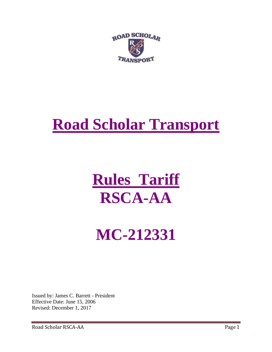

# **Road Scholar Transport**

# **Rules Tariff RSCA-AA**

# **MC-212331**

Issued by: James C. Barrett - President Effective Date: June 15, 2006 Revised: December 1, 2017

Road Scholar RSCA-AA Page 1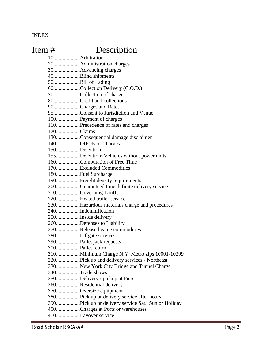INDEX

# Item # Description

10....................Arbitration 20....................Administration charges 30....................Advancing charges 40....................Blind shipments 50....................Bill of Lading 60....................Collect on Delivery (C.O.D.) 70....................Collection of charges 80....................Credit and collections 90....................Charges and Rates 95....................Consent to Jurisdiction and Venue 100..................Payment of charges 110..................Precedence of rates and charges 120..................Claims 130..................Consequential damage disclaimer 140..................Offsets of Charges 150..................Detention 155..................Detention: Vehicles without power units 160..................Computation of Free Time 170..................Excluded Commodities 180..................Fuel Surcharge 190..................Freight density requirements 200..................Guaranteed time definite delivery service 210..................Governing Tariffs 220..................Heated trailer service 230..................Hazardous materials charge and procedures 240..................Indemnification 250..................Inside delivery 260..................Defenses to Liability 270..................Released value commodities 280..................Liftgate services 290..................Pallet jack requests 300..................Pallet return 310..................Minimum Charge N.Y. Metro zips 10001-10299 320..................Pick up and delivery services - Northeast 330..................New York City Bridge and Tunnel Charge 340..................Trade shows 350..................Delivery / pickup at Piers 360..................Residential delivery 370..................Oversize equipment 380..................Pick up or delivery service after hours 390..................Pick up or delivery service Sat., Sun or Holiday 400..................Charges at Ports or warehouses 410..................Layover service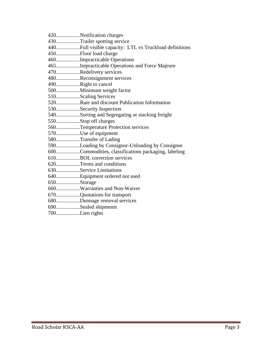|                | 420Notification charges                             |
|----------------|-----------------------------------------------------|
|                | 430Trailer spotting service                         |
|                |                                                     |
|                | 450Floor load charge                                |
|                | 460Impracticable Operations                         |
|                | 465Impracticable Operations and Force Majeure       |
|                | 470Redelivery services                              |
|                | 480Reconsignment services                           |
|                | 490Right to cancel                                  |
|                | 500Minimum weight factor                            |
|                | 510Scaling Services                                 |
|                | 520Rate and discount Publication Information        |
|                | 530Security Inspection                              |
|                | 540Sorting and Segregating or stacking freight      |
|                | 550Stop off charges                                 |
|                | 560Temperature Protection services                  |
|                | 570Use of equipment                                 |
|                | 580Transfer of Lading                               |
|                | 590Loading by Consignor-Unloading by Consignee      |
|                | 600Commodities, classifications packaging, labeling |
|                | 610BOL correction services                          |
|                | 620Terms and conditions                             |
|                | 630Service Limitations                              |
|                | 640Equipment ordered not used                       |
| 650Storage     |                                                     |
|                | 660Warranties and Non-Waiver                        |
|                | 670Quotations for transport                         |
|                | 680Dunnage removal services                         |
|                | 690Sealed shipments                                 |
| 700Lien rights |                                                     |
|                |                                                     |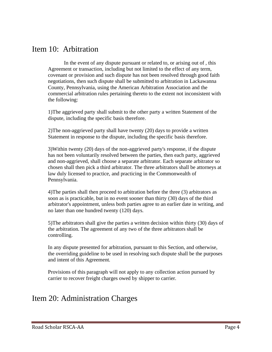#### Item 10: Arbitration

In the event of any dispute pursuant or related to, or arising out of , this Agreement or transaction, including but not limited to the effect of any term, covenant or provision and such dispute has not been resolved through good faith negotiations, then such dispute shall be submitted to arbitration in Lackawanna County, Pennsylvania, using the American Arbitration Association and the commercial arbitration rules pertaining thereto to the extent not inconsistent with the following:

1)The aggrieved party shall submit to the other party a written Statement of the dispute, including the specific basis therefore.

2)The non-aggrieved party shall have twenty (20) days to provide a written Statement in response to the dispute, including the specific basis therefore.

3)Within twenty (20) days of the non-aggrieved party's response, if the dispute has not been voluntarily resolved between the parties, then each party, aggrieved and non-aggrieved, shall choose a separate arbitrator. Each separate arbitrator so chosen shall then pick a third arbitrator. The three arbitrators shall be attorneys at law duly licensed to practice, and practicing in the Commonwealth of Pennsylvania.

4)The parties shall then proceed to arbitration before the three (3) arbitrators as soon as is practicable, but in no event sooner than thirty (30) days of the third arbitrator's appointment, unless both parties agree to an earlier date in writing, and no later than one hundred twenty (120) days.

5)The arbitrators shall give the parties a written decision within thirty (30) days of the arbitration. The agreement of any two of the three arbitrators shall be controlling.

In any dispute presented for arbitration, pursuant to this Section, and otherwise, the overriding guideline to be used in resolving such dispute shall be the purposes and intent of this Agreement.

Provisions of this paragraph will not apply to any collection action pursued by carrier to recover freight charges owed by shipper to carrier.

# Item 20: Administration Charges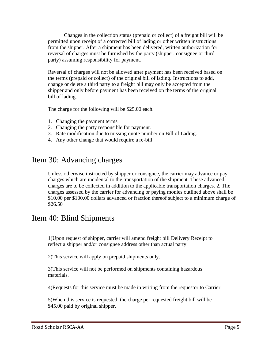Changes in the collection status (prepaid or collect) of a freight bill will be permitted upon receipt of a corrected bill of lading or other written instructions from the shipper. After a shipment has been delivered, written authorization for reversal of charges must be furnished by the party (shipper, consignee or third party) assuming responsibility for payment.

Reversal of charges will not be allowed after payment has been received based on the terms (prepaid or collect) of the original bill of lading. Instructions to add, change or delete a third party to a freight bill may only be accepted from the shipper and only before payment has been received on the terms of the original bill of lading.

The charge for the following will be \$25.00 each.

- 1. Changing the payment terms
- 2. Changing the party responsible for payment.
- 3. Rate modification due to missing quote number on Bill of Lading.
- 4. Any other change that would require a re-bill.

#### Item 30: Advancing charges

Unless otherwise instructed by shipper or consignee, the carrier may advance or pay charges which are incidental to the transportation of the shipment. These advanced charges are to be collected in addition to the applicable transportation charges. 2. The charges assessed by the carrier for advancing or paying monies outlined above shall be \$10.00 per \$100.00 dollars advanced or fraction thereof subject to a minimum charge of \$26.50

#### Item 40: Blind Shipments

1)Upon request of shipper, carrier will amend freight bill Delivery Receipt to reflect a shipper and/or consignee address other than actual party.

2)This service will apply on prepaid shipments only.

3)This service will not be performed on shipments containing hazardous materials.

4)Requests for this service must be made in writing from the requestor to Carrier.

5)When this service is requested, the charge per requested freight bill will be \$45.00 paid by original shipper.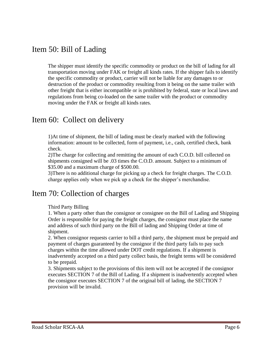#### Item 50: Bill of Lading

The shipper must identify the specific commodity or product on the bill of lading for all transportation moving under FAK or freight all kinds rates. If the shipper fails to identify the specific commodity or product, carrier will not be liable for any damages to or destruction of the product or commodity resulting from it being on the same trailer with other freight that is either incompatible or is prohibited by federal, state or local laws and regulations from being co-loaded on the same trailer with the product or commodity moving under the FAK or freight all kinds rates.

#### Item 60: Collect on delivery

1)At time of shipment, the bill of lading must be clearly marked with the following information: amount to be collected, form of payment, i.e., cash, certified check, bank check.

2)The charge for collecting and remitting the amount of each C.O.D. bill collected on shipments consigned will be .03 times the C.O.D. amount. Subject to a minimum of \$35.00 and a maximum charge of \$500.00.

3)There is no additional charge for picking up a check for freight charges. The C.O.D. charge applies only when we pick up a check for the shipper's merchandise.

#### Item 70: Collection of charges

#### Third Party Billing

1. When a party other than the consignor or consignee on the Bill of Lading and Shipping Order is responsible for paying the freight charges, the consignor must place the name and address of such third party on the Bill of lading and Shipping Order at time of shipment.

2. When consignor requests carrier to bill a third party, the shipment must be prepaid and payment of charges guaranteed by the consignor if the third party fails to pay such charges within the time allowed under DOT credit regulations. If a shipment is inadvertently accepted on a third party collect basis, the freight terms will be considered to be prepaid.

3. Shipments subject to the provisions of this item will not be accepted if the consignor executes SECTION 7 of the Bill of Lading. If a shipment is inadvertently accepted when the consignor executes SECTION 7 of the original bill of lading, the SECTION 7 provision will be invalid.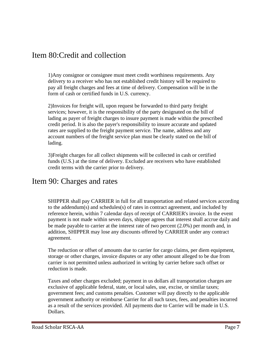#### Item 80:Credit and collection

1)Any consignor or consignee must meet credit worthiness requirements. Any delivery to a receiver who has not established credit history will be required to pay all freight charges and fees at time of delivery. Compensation will be in the form of cash or certified funds in U.S. currency.

2)Invoices for freight will, upon request be forwarded to third party freight services; however, it is the responsibility of the party designated on the bill of lading as payer of freight charges to insure payment is made within the prescribed credit period. It is also the payer's responsibility to insure accurate and updated rates are supplied to the freight payment service. The name, address and any account numbers of the freight service plan must be clearly stated on the bill of lading.

3)Freight charges for all collect shipments will be collected in cash or certified funds (U.S.) at the time of delivery. Excluded are receivers who have established credit terms with the carrier prior to delivery.

#### Item 90: Charges and rates

SHIPPER shall pay CARRIER in full for all transportation and related services according to the addendum(s) and schedules(s) of rates in contract agreement, and included by reference herein, within 7 calendar days of receipt of CARRIER's invoice. In the event payment is not made within seven days, shipper agrees that interest shall accrue daily and be made payable to carrier at the interest rate of two percent (2.0%) per month and, in addition, SHIPPER may lose any discounts offered by CARRIER under any contract agreement.

The reduction or offset of amounts due to carrier for cargo claims, per diem equipment, storage or other charges, invoice disputes or any other amount alleged to be due from carrier is not permitted unless authorized in writing by carrier before such offset or reduction is made.

Taxes and other charges excluded; payment in us dollars all transportation charges are exclusive of applicable federal, state, or local sales, use, excise, or similar taxes; government fees; and customs penalties. Customer will pay directly to the applicable government authority or reimburse Carrier for all such taxes, fees, and penalties incurred as a result of the services provided. All payments due to Carrier will be made in U.S. Dollars.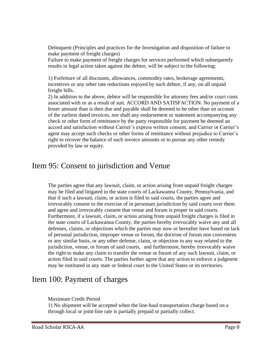Delinquent (Principles and practices for the Investigation and disposition of failure to make payment of freight charges)

Failure to make payment of freight charges for services performed which subsequently results in legal action taken against the debtor, will be subject to the following:

1) Forfeiture of all discounts, allowances, commodity rates, brokerage agreements, incentives or any other rate reductions enjoyed by such debtor, if any, on all unpaid freight bills.

2) In addition to the above, debtor will be responsible for attorney fees and/or court costs associated with or as a result of suit. ACCORD AND SATISFACTION. No payment of a lesser amount than is then due and payable shall be deemed to be other than on account of the earliest dated invoices, nor shall any endorsement or statement accompanying any check or other form of remittance by the party responsible for payment be deemed an accord and satisfaction without Carrier's express written consent, and Carrier or Carrier's agent may accept such checks or other forms of remittance without prejudice to Carrier's right to recover the balance of such invoice amounts or to pursue any other remedy provided by law or equity.

#### Item 95: Consent to jurisdiction and Venue

The parties agree that any lawsuit, claim, or action arising from unpaid freight charges may be filed and litigated in the state courts of Lackawanna County, Pennsylvania, and that if such a lawsuit, claim, or action is filed in said courts, the parties agree and irrevocably consent to the exercise of in personam jurisdiction by said courts over them and agree and irrevocably consent that venue and forum is proper in said courts. Furthermore, if a lawsuit, claim, or action arising from unpaid freight charges is filed in the state courts of Lackawanna County, the parties hereby irrevocably waive any and all defenses, claims, or objections which the parties may now or hereafter have based on lack of personal jurisdiction, improper venue or forum, the doctrine of forum non conveniens or any similar basis, or any other defense, claim, or objection in any way related to the jurisdiction, venue, or forum of said courts, and furthermore, hereby irrevocably waive the right to make any claim to transfer the venue or forum of any such lawsuit, claim, or action filed in said courts. The parties further agree that any action to enforce a judgment may be instituted in any state or federal court in the United States or its territories.

#### Item 100: Payment of charges

#### Maximum Credit Period

1) No shipment will be accepted when the line-haul transportation charge based on a through local or joint-line rate is partially prepaid or partially collect.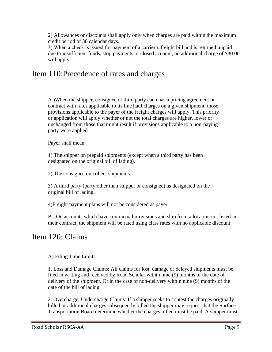2) Allowances or discounts shall apply only when charges are paid within the maximum credit period of 30 calendar days.

3) When a check is issued for payment of a carrier's freight bill and is returned unpaid due to insufficient funds, stop payments or closed account, an additional charge of \$30.00 will apply.

# Item 110:Precedence of rates and charges

A.)When the shipper, consignee or third party each has a pricing agreement or contract with rates applicable to its line haul charges on a given shipment, those provisions applicable to the payer of the freight charges will apply. This priority or application will apply whether or not the total charges are higher, lower or unchanged from those that might result if provisions applicable to a non-paying party were applied.

Payer shall mean:

1) The shipper on prepaid shipments (except when a third party has been designated on the original bill of lading).

2) The consignee on collect shipments.

3) A third party (party other than shipper or consignee) as designated on the original bill of lading.

4)Freight payment plans will not be considered as payer.

B.) On accounts which have contractual provisions and ship from a location not listed in their contract, the shipment will be rated using class rates with no applicable discount.

#### Item 120: Claims

A) Filing Time Limits

1. Loss and Damage Claims: All claims for lost, damage or delayed shipments must be filed in writing and received by Road Scholar within nine (9) months of the date of delivery of the shipment. Or in the case of non-delivery within nine (9) months of the date of the bill of lading.

2. Overcharge, Undercharge Claims: If a shipper seeks to contest the charges originally billed or additional charges subsequently billed the shipper may request that the Surface Transportation Board determine whether the charges billed must be paid. A shipper must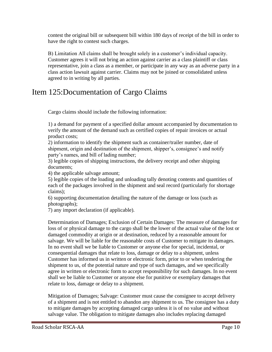contest the original bill or subsequent bill within 180 days of receipt of the bill in order to have the right to contest such charges.

B) Limitation All claims shall be brought solely in a customer's individual capacity. Customer agrees it will not bring an action against carrier as a class plaintiff or class representative, join a class as a member, or participate in any way as an adverse party in a class action lawsuit against carrier. Claims may not be joined or consolidated unless agreed to in writing by all parties.

#### Item 125:Documentation of Cargo Claims

Cargo claims should include the following information:

1) a demand for payment of a specified dollar amount accompanied by documentation to verify the amount of the demand such as certified copies of repair invoices or actual product costs;

2) information to identify the shipment such as container/trailer number, date of shipment, origin and destination of the shipment, shipper's, consignee's and notify party's names, and bill of lading number;

3) legible copies of shipping instructions, the delivery receipt and other shipping documents;

4) the applicable salvage amount;

5) legible copies of the loading and unloading tally denoting contents and quantities of each of the packages involved in the shipment and seal record (particularly for shortage claims);

6) supporting documentation detailing the nature of the damage or loss (such as photographs);

7) any import declaration (if applicable).

Determination of Damages; Exclusion of Certain Damages: The measure of damages for loss of or physical damage to the cargo shall be the lower of the actual value of the lost or damaged commodity at origin or at destination, reduced by a reasonable amount for salvage. We will be liable for the reasonable costs of Customer to mitigate its damages. In no event shall we be liable to Customer or anyone else for special, incidental, or consequential damages that relate to loss, damage or delay to a shipment, unless Customer has informed us in written or electronic form, prior to or when tendering the shipment to us, of the potential nature and type of such damages, and we specifically agree in written or electronic form to accept responsibility for such damages. In no event shall we be liable to Customer or anyone else for punitive or exemplary damages that relate to loss, damage or delay to a shipment.

Mitigation of Damages; Salvage: Customer must cause the consignee to accept delivery of a shipment and is not entitled to abandon any shipment to us. The consignee has a duty to mitigate damages by accepting damaged cargo unless it is of no value and without salvage value. The obligation to mitigate damages also includes replacing damaged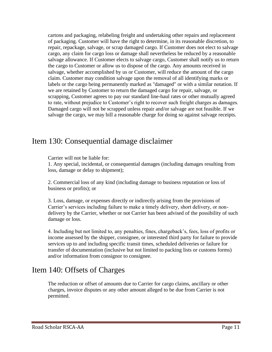cartons and packaging, relabeling freight and undertaking other repairs and replacement of packaging. Customer will have the right to determine, in its reasonable discretion, to repair, repackage, salvage, or scrap damaged cargo. If Customer does not elect to salvage cargo, any claim for cargo loss or damage shall nevertheless be reduced by a reasonable salvage allowance. If Customer elects to salvage cargo, Customer shall notify us to return the cargo to Customer or allow us to dispose of the cargo. Any amounts received in salvage, whether accomplished by us or Customer, will reduce the amount of the cargo claim. Customer may condition salvage upon the removal of all identifying marks or labels or the cargo being permanently marked as "damaged" or with a similar notation. If we are retained by Customer to return the damaged cargo for repair, salvage, or scrapping, Customer agrees to pay our standard line-haul rates or other mutually agreed to rate, without prejudice to Customer's right to recover such freight charges as damages. Damaged cargo will not be scrapped unless repair and/or salvage are not feasible. If we salvage the cargo, we may bill a reasonable charge for doing so against salvage receipts.

#### Item 130: Consequential damage disclaimer

Carrier will not be liable for:

1. Any special, incidental, or consequential damages (including damages resulting from loss, damage or delay to shipment);

2. Commercial loss of any kind (including damage to business reputation or loss of business or profits); or

3. Loss, damage, or expenses directly or indirectly arising from the provisions of Carrier's services including failure to make a timely delivery, short delivery, or nondelivery by the Carrier, whether or not Carrier has been advised of the possibility of such damage or loss.

4. Including but not limited to, any penalties, fines, chargeback's, fees, loss of profits or income assessed by the shipper, consignee, or interested third party for failure to provide services up to and including specific transit times, scheduled deliveries or failure for transfer of documentation (inclusive but not limited to packing lists or customs forms) and/or information from consignor to consignee.

# Item 140: Offsets of Charges

The reduction or offset of amounts due to Carrier for cargo claims, ancillary or other charges, invoice disputes or any other amount alleged to be due from Carrier is not permitted.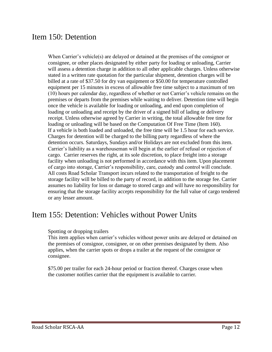#### Item 150: Detention

When Carrier's vehicle(s) are delayed or detained at the premises of the consignor or consignee, or other places designated by either party for loading or unloading, Carrier will assess a detention charge in addition to all other applicable charges. Unless otherwise stated in a written rate quotation for the particular shipment, detention charges will be billed at a rate of \$37.50 for dry van equipment or \$50.00 for temperature controlled equipment per 15 minutes in excess of allowable free time subject to a maximum of ten (10) hours per calendar day, regardless of whether or not Carrier's vehicle remains on the premises or departs from the premises while waiting to deliver. Detention time will begin once the vehicle is available for loading or unloading, and end upon completion of loading or unloading and receipt by the driver of a signed bill of lading or delivery receipt. Unless otherwise agreed by Carrier in writing, the total allowable free time for loading or unloading will be based on the Computation Of Free Time (Item 160). If a vehicle is both loaded and unloaded, the free time will be 1.5 hour for each service. Charges for detention will be charged to the billing party regardless of where the detention occurs. Saturdays, Sundays and/or Holidays are not excluded from this item. Carrier's liability as a warehouseman will begin at the earlier of refusal or rejection of cargo. Carrier reserves the right, at its sole discretion, to place freight into a storage facility when unloading is not performed in accordance with this item. Upon placement of cargo into storage, Carrier's responsibility, care, custody and control will conclude. All costs Road Scholar Transport incurs related to the transportation of freight to the storage facility will be billed to the party of record, in addition to the storage fee. Carrier assumes no liability for loss or damage to stored cargo and will have no responsibility for ensuring that the storage facility accepts responsibility for the full value of cargo tendered or any lesser amount.

# Item 155: Detention: Vehicles without Power Units

#### Spotting or dropping trailers

This item applies when carrier's vehicles without power units are delayed or detained on the premises of consignor, consignee, or on other premises designated by them. Also applies, when the carrier spots or drops a trailer at the request of the consignor or consignee.

\$75.00 per trailer for each 24-hour period or fraction thereof. Charges cease when the customer notifies carrier that the equipment is available to carrier.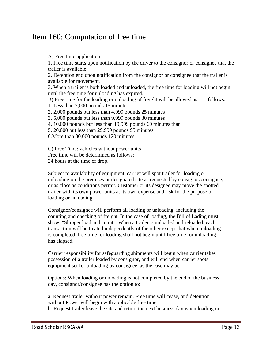#### Item 160: Computation of free time

A) Free time application:

1. Free time starts upon notification by the driver to the consignor or consignee that the trailer is available.

2. Detention end upon notification from the consignor or consignee that the trailer is available for movement.

3. When a trailer is both loaded and unloaded, the free time for loading will not begin until the free time for unloading has expired.

B) Free time for the loading or unloading of freight will be allowed as follows:

1. Less than 2,000 pounds 15 minutes

2. 2,000 pounds but less than 4,999 pounds 25 minutes

3. 5,000 pounds but less than 9,999 pounds 30 minutes

4. 10,000 pounds but less than 19,999 pounds 60 minutes than

5. 20,000 but less than 29,999 pounds 95 minutes

6.More than 30,000 pounds 120 minutes

C) Free Time: vehicles without power units Free time will be determined as follows: 24 hours at the time of drop.

Subject to availability of equipment, carrier will spot trailer for loading or unloading on the premises or designated site as requested by consignor/consignee, or as close as conditions permit. Customer or its designee may move the spotted trailer with its own power units at its own expense and risk for the purpose of loading or unloading.

Consignor/consignee will perform all loading or unloading, including the counting and checking of freight. In the case of loading, the Bill of Lading must show, "Shipper load and count". When a trailer is unloaded and reloaded, each transaction will be treated independently of the other except that when unloading is completed, free time for loading shall not begin until free time for unloading has elapsed.

Carrier responsibility for safeguarding shipments will begin when carrier takes possession of a trailer loaded by consignor, and will end when carrier spots equipment set for unloading by consignee, as the case may be.

Options: When loading or unloading is not completed by the end of the business day, consignor/consignee has the option to:

a. Request trailer without power remain. Free time will cease, and detention without Power will begin with applicable free time.

b. Request trailer leave the site and return the next business day when loading or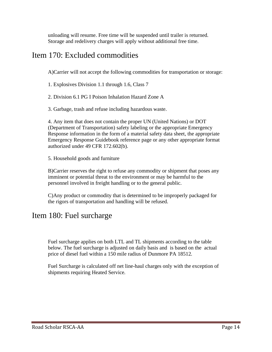unloading will resume. Free time will be suspended until trailer is returned. Storage and redelivery charges will apply without additional free time.

#### Item 170: Excluded commodities

A)Carrier will not accept the following commodities for transportation or storage:

1. Explosives Division 1.1 through 1.6, Class 7

2. Division 6.1 PG I Poison Inhalation Hazard Zone A

3. Garbage, trash and refuse including hazardous waste.

4. Any item that does not contain the proper UN (United Nations) or DOT (Department of Transportation) safety labeling or the appropriate Emergency Response information in the form of a material safety data sheet, the appropriate Emergency Response Guidebook reference page or any other appropriate format authorized under 49 CFR 172.602(b).

5. Household goods and furniture

B)Carrier reserves the right to refuse any commodity or shipment that poses any imminent or potential threat to the environment or may be harmful to the personnel involved in freight handling or to the general public.

C)Any product or commodity that is determined to be improperly packaged for the rigors of transportation and handling will be refused.

# Item 180: Fuel surcharge

Fuel surcharge applies on both LTL and TL shipments according to the table below. The fuel surcharge is adjusted on daily basis and is based on the actual price of diesel fuel within a 150 mile radius of Dunmore PA 18512.

Fuel Surcharge is calculated off net line-haul charges only with the exception of shipments requiring Heated Service.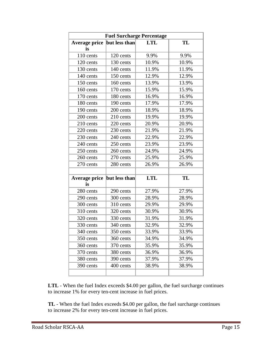| <b>Fuel Surcharge Percentage</b> |               |            |       |  |  |  |  |
|----------------------------------|---------------|------------|-------|--|--|--|--|
| Average price<br>is              | but less than | <b>LTL</b> | TL    |  |  |  |  |
| 110 cents                        | 120 cents     | 9.9%       | 9.9%  |  |  |  |  |
| 120 cents                        | 130 cents     | 10.9%      | 10.9% |  |  |  |  |
| 130 cents                        | 140 cents     | 11.9%      | 11.9% |  |  |  |  |
| 140 cents                        | 150 cents     | 12.9%      | 12.9% |  |  |  |  |
| 150 cents                        | 160 cents     | 13.9%      | 13.9% |  |  |  |  |
| 160 cents                        | 170 cents     | 15.9%      | 15.9% |  |  |  |  |
| 170 cents                        | 180 cents     | 16.9%      | 16.9% |  |  |  |  |
| 180 cents                        | 190 cents     | 17.9%      | 17.9% |  |  |  |  |
| 190 cents                        | 200 cents     | 18.9%      | 18.9% |  |  |  |  |
| 200 cents                        | 210 cents     | 19.9%      | 19.9% |  |  |  |  |
| 210 cents                        | 220 cents     | 20.9%      | 20.9% |  |  |  |  |
| 220 cents                        | 230 cents     | 21.9%      | 21.9% |  |  |  |  |
| 230 cents                        | 240 cents     | 22.9%      | 22.9% |  |  |  |  |
| 240 cents                        | 250 cents     | 23.9%      | 23.9% |  |  |  |  |
| 250 cents                        | 260 cents     | 24.9%      | 24.9% |  |  |  |  |
| 260 cents                        | 270 cents     | 25.9%      | 25.9% |  |  |  |  |
| 270 cents                        | 280 cents     | 26.9%      | 26.9% |  |  |  |  |
|                                  |               |            |       |  |  |  |  |
| <b>Average price</b><br>is       | but less than | <b>LTL</b> | TL    |  |  |  |  |
| 280 cents                        | 290 cents     | 27.9%      | 27.9% |  |  |  |  |
| 290 cents                        | 300 cents     | 28.9%      | 28.9% |  |  |  |  |
| 300 cents                        | 310 cents     | 29.9%      | 29.9% |  |  |  |  |
| 310 cents                        | 320 cents     | 30.9%      | 30.9% |  |  |  |  |
| 320 cents                        | 330 cents     | 31.9%      | 31.9% |  |  |  |  |
| 330 cents                        | 340 cents     | 32.9%      | 32.9% |  |  |  |  |
| 340 cents                        | 350 cents     | 33.9%      | 33.9% |  |  |  |  |
| 350 cents                        | 360 cents     | 34.9%      | 34.9% |  |  |  |  |
| 360 cents                        | 370 cents     | 35.9%      | 35.9% |  |  |  |  |
| 370 cents                        | 380 cents     | 36.9%      | 36.9% |  |  |  |  |
| 380 cents                        | 390 cents     | 37.9%      | 37.9% |  |  |  |  |
| 390 cents                        | 400 cents     | 38.9%      | 38.9% |  |  |  |  |
|                                  |               |            |       |  |  |  |  |

**LTL** - When the fuel Index exceeds \$4.00 per gallon, the fuel surcharge continues to increase 1% for every ten-cent increase in fuel prices.

**TL** - When the fuel Index exceeds \$4.00 per gallon, the fuel surcharge continues to increase 2% for every ten-cent increase in fuel prices.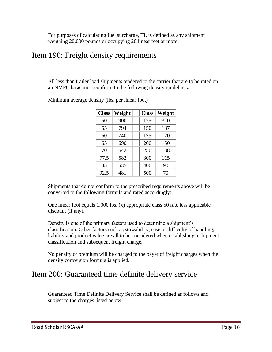For purposes of calculating fuel surcharge, TL is defined as any shipment weighing 20,000 pounds or occupying 20 linear feet or more.

#### Item 190: Freight density requirements

All less than trailer load shipments tendered to the carrier that are to be rated on an NMFC basis must conform to the following density guidelines:

| <b>Class</b> | Weight | <b>Class</b> | <b>Weight</b> |
|--------------|--------|--------------|---------------|
| 50           | 900    | 125          | 310           |
| 55           | 794    | 150          | 187           |
| 60           | 740    | 175          | 170           |
| 65           | 690    | 200          | 150           |
| 70           | 642    | 250          | 138           |
| 77.5         | 582    | 300          | 115           |
| 85           | 535    | 400          | 90            |
| 92.5         | 481    | 500          | 70            |

Minimum average density (lbs. per linear foot)

Shipments that do not conform to the prescribed requirements above will be converted to the following formula and rated accordingly:

One linear foot equals 1,000 lbs. (x) appropriate class 50 rate less applicable discount (if any).

Density is one of the primary factors used to determine a shipment's classification. Other factors such as stowability, ease or difficulty of handling, liability and product value are all to be considered when establishing a shipment classification and subsequent freight charge.

No penalty or premium will be charged to the payer of freight charges when the density conversion formula is applied.

#### Item 200: Guaranteed time definite delivery service

Guaranteed Time Definite Delivery Service shall be defined as follows and subject to the charges listed below: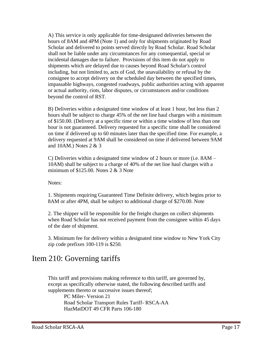A) This service is only applicable for time-designated deliveries between the hours of 8AM and 4PM (Note 1) and only for shipments originated by Road Scholar and delivered to points served directly by Road Scholar. Road Scholar shall not be liable under any circumstances for any consequential, special or incidental damages due to failure. Provisions of this item do not apply to shipments which are delayed due to causes beyond Road Scholar's control including, but not limited to, acts of God, the unavailability or refusal by the consignee to accept delivery on the scheduled day between the specified times, impassable highways, congested roadways, public authorities acting with apparent or actual authority, riots, labor disputes, or circumstances and/or conditions beyond the control of RST.

B) Deliveries within a designated time window of at least 1 hour, but less than 2 hours shall be subject to charge 45% of the net line haul charges with a minimum of \$150.00. (Delivery at a specific time or within a time window of less than one hour is not guaranteed. Delivery requested for a specific time shall be considered on time if delivered up to 60 minutes later than the specified time. For example, a delivery requested at 9AM shall be considered on time if delivered between 9AM and 10AM.) Notes 2 & 3

C) Deliveries within a designated time window of 2 hours or more (i.e. 8AM – 10AM) shall be subject to a charge of 40% of the net line haul charges with a minimum of  $$125.00$ . Notes 2 & 3 Note

Notes:

1. Shipments requiring Guaranteed Time Definite delivery, which begins prior to 8AM or after 4PM, shall be subject to additional charge of \$270.00. Note

2. The shipper will be responsible for the freight charges on collect shipments when Road Scholar has not received payment from the consignee within 45 days of the date of shipment.

3. Minimum fee for delivery within a designated time window to New York City zip code prefixes 100-119 is \$250.

#### Item 210: Governing tariffs

This tariff and provisions making reference to this tariff, are governed by, except as specifically otherwise stated, the following described tariffs and supplements thereto or successive issues thereof;

> PC Miler- Version 21 Road Scholar Transport Rules Tariff- RSCA-AA HazMatDOT 49 CFR Parts 106-180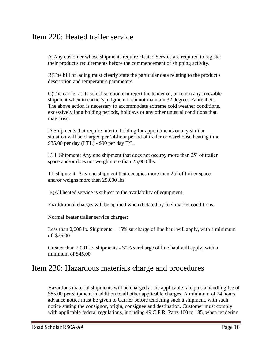#### Item 220: Heated trailer service

A)Any customer whose shipments require Heated Service are required to register their product's requirements before the commencement of shipping activity.

B)The bill of lading must clearly state the particular data relating to the product's description and temperature parameters.

C)The carrier at its sole discretion can reject the tender of, or return any freezable shipment when in carrier's judgment it cannot maintain 32 degrees Fahrenheit. The above action is necessary to accommodate extreme cold weather conditions, excessively long holding periods, holidays or any other unusual conditions that may arise.

D)Shipments that require interim holding for appointments or any similar situation will be charged per 24-hour period of trailer or warehouse heating time. \$35.00 per day (LTL) - \$90 per day T/L.

LTL Shipment: Any one shipment that does not occupy more than 25' of trailer space and/or does not weigh more than 25,000 lbs.

TL shipment: Any one shipment that occupies more than 25' of trailer space and/or weighs more than 25,000 lbs.

E)All heated service is subject to the availability of equipment.

F)Additional charges will be applied when dictated by fuel market conditions.

Normal heater trailer service charges:

Less than 2,000 lb. Shipments  $-15\%$  surcharge of line haul will apply, with a minimum of \$25.00

Greater than 2,001 lb. shipments - 30% surcharge of line haul will apply, with a minimum of \$45.00

#### Item 230: Hazardous materials charge and procedures

Hazardous material shipments will be charged at the applicable rate plus a handling fee of \$85.00 per shipment in addition to all other applicable charges. A minimum of 24 hours advance notice must be given to Carrier before tendering such a shipment, with such notice stating the consignor, origin, consignee and destination. Customer must comply with applicable federal regulations, including 49 C.F.R. Parts 100 to 185, when tendering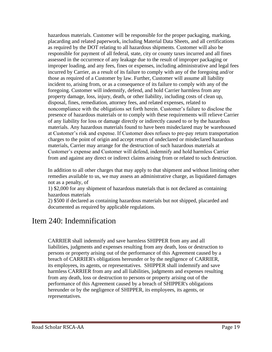hazardous materials. Customer will be responsible for the proper packaging, marking, placarding and related paperwork, including Material Data Sheets, and all certifications as required by the DOT relating to all hazardous shipments. Customer will also be responsible for payment of all federal, state, city or county taxes incurred and all fines assessed in the occurrence of any leakage due to the result of improper packaging or improper loading, and any fees, fines or expenses, including administrative and legal fees incurred by Carrier, as a result of its failure to comply with any of the foregoing and/or those as required of a Customer by law. Further, Customer will assume all liability incident to, arising from, or as a consequence of its failure to comply with any of the foregoing. Customer will indemnify, defend, and hold Carrier harmless from any property damage, loss, injury, death, or other liability, including costs of clean up, disposal, fines, remediation, attorney fees, and related expenses, related to noncompliance with the obligations set forth herein. Customer's failure to disclose the presence of hazardous materials or to comply with these requirements will relieve Carrier of any liability for loss or damage directly or indirectly caused to or by the hazardous materials. Any hazardous materials found to have been misdeclared may be warehoused at Customer's risk and expense. If Customer does refuses to pre-pay return transportation charges to the point of origin and accept return of undeclared or misdeclared hazardous materials, Carrier may arrange for the destruction of such hazardous materials at Customer's expense and Customer will defend, indemnify and hold harmless Carrier from and against any direct or indirect claims arising from or related to such destruction.

In addition to all other charges that may apply to that shipment and without limiting other remedies available to us, we may assess an administrative charge, as liquidated damages not as a penalty, of

1) \$2,000 for any shipment of hazardous materials that is not declared as containing hazardous materials

2) \$500 if declared as containing hazardous materials but not shipped, placarded and documented as required by applicable regulations.

#### Item 240: Indemnification

CARRIER shall indemnify and save harmless SHIPPER from any and all liabilities, judgments and expenses resulting from any death, loss or destruction to persons or property arising out of the performance of this Agreement caused by a breach of CARRIER's obligations hereunder or by the negligence of CARRIER, its employees, its agents, or representatives. SHIPPER shall indemnify and save harmless CARRIER from any and all liabilities, judgments and expenses resulting from any death, loss or destruction to persons or property arising out of the performance of this Agreement caused by a breach of SHIPPER's obligations hereunder or by the negligence of SHIPPER, its employees, its agents, or representatives.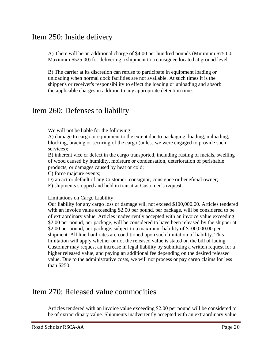#### Item 250: Inside delivery

A) There will be an additional charge of \$4.00 per hundred pounds (Minimum \$75.00, Maximum \$525.00) for delivering a shipment to a consignee located at ground level.

B) The carrier at its discretion can refuse to participate in equipment loading or unloading when normal dock facilities are not available. At such times it is the shipper's or receiver's responsibility to effect the loading or unloading and absorb the applicable charges in addition to any appropriate detention time.

#### Item 260: Defenses to liability

We will not be liable for the following:

A) damage to cargo or equipment to the extent due to packaging, loading, unloading, blocking, bracing or securing of the cargo (unless we were engaged to provide such services);

B) inherent vice or defect in the cargo transported, including rusting of metals, swelling of wood caused by humidity, moisture or condensation, deterioration of perishable products, or damages caused by heat or cold;

C) force majeure events;

D) an act or default of any Customer, consignor, consignee or beneficial owner;

E) shipments stopped and held in transit at Customer's request.

Limitations on Cargo Liability:

Our liability for any cargo loss or damage will not exceed \$100,000.00. Articles tendered with an invoice value exceeding \$2.00 per pound, per package, will be considered to be of extraordinary value. Articles inadvertently accepted with an invoice value exceeding \$2.00 per pound, per package, will be considered to have been released by the shipper at \$2.00 per pound, per package, subject to a maximum liability of \$100,000.00 per shipment All line-haul rates are conditioned upon such limitation of liability. This limitation will apply whether or not the released value is stated on the bill of lading. Customer may request an increase in legal liability by submitting a written request for a higher released value, and paying an additional fee depending on the desired released value. Due to the administrative costs, we will not process or pay cargo claims for less than \$250.

#### Item 270: Released value commodities

Articles tendered with an invoice value exceeding \$2.00 per pound will be considered to be of extraordinary value. Shipments inadvertently accepted with an extraordinary value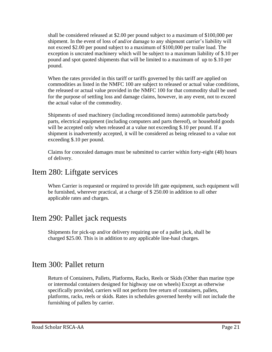shall be considered released at \$2.00 per pound subject to a maximum of \$100,000 per shipment. In the event of loss of and/or damage to any shipment carrier's liability will not exceed \$2.00 per pound subject to a maximum of \$100,000 per trailer load. The exception is uncrated machinery which will be subject to a maximum liability of \$.10 per pound and spot quoted shipments that will be limited to a maximum of up to \$.10 per pound.

When the rates provided in this tariff or tariffs governed by this tariff are applied on commodities as listed in the NMFC 100 are subject to released or actual value conditions, the released or actual value provided in the NMFC 100 for that commodity shall be used for the purpose of settling loss and damage claims, however, in any event, not to exceed the actual value of the commodity.

Shipments of used machinery (including reconditioned items) automobile parts/body parts, electrical equipment (including computers and parts thereof), or household goods will be accepted only when released at a value not exceeding \$.10 per pound. If a shipment is inadvertently accepted, it will be considered as being released to a value not exceeding \$.10 per pound.

Claims for concealed damages must be submitted to carrier within forty-eight (48) hours of delivery.

#### Item 280: Liftgate services

When Carrier is requested or required to provide lift gate equipment, such equipment will be furnished, wherever practical, at a charge of \$ 250.00 in addition to all other applicable rates and charges.

# Item 290: Pallet jack requests

Shipments for pick-up and/or delivery requiring use of a pallet jack, shall be charged \$25.00. This is in addition to any applicable line-haul charges.

#### Item 300: Pallet return

Return of Containers, Pallets, Platforms, Racks, Reels or Skids (Other than marine type or intermodal containers designed for highway use on wheels) Except as otherwise specifically provided, carriers will not perform free return of containers, pallets, platforms, racks, reels or skids. Rates in schedules governed hereby will not include the furnishing of pallets by carrier.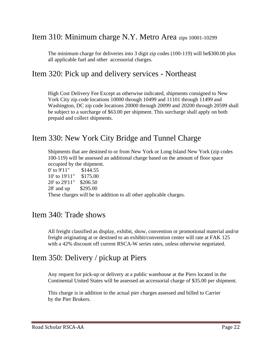#### Item 310: Minimum charge N.Y. Metro Area zips 10001-10299

The minimum charge for deliveries into 3 digit zip codes (100-119) will be\$300.00 plus all applicable fuel and other accessorial charges.

#### Item 320: Pick up and delivery services - Northeast

High Cost Delivery Fee Except as otherwise indicated, shipments consigned to New York City zip code locations 10000 through 10499 and 11101 through 11499 and Washington, DC zip code locations 20000 through 20099 and 20200 through 20599 shall be subject to a surcharge of \$63.00 per shipment. This surcharge shall apply on both prepaid and collect shipments.

#### Item 330: New York City Bridge and Tunnel Charge

Shipments that are destined to or from New York or Long Island New York (zip codes 100-119) will be assessed an additional charge based on the amount of floor space occupied by the shipment.

0' to 9'11" \$144.55 10' to 19'11" \$175.00 20' to 29'11" \$206.50 28' and up \$295.00 These charges will be in addition to all other applicable charges.

#### Item 340: Trade shows

All freight classified as display, exhibit, show, convention or promotional material and/or freight originating at or destined to an exhibit/convention center will rate at FAK 125 with a 42% discount off current RSCA-W series rates, unless otherwise negotiated.

#### Item 350: Delivery / pickup at Piers

Any request for pick-up or delivery at a public warehouse at the Piers located in the Continental United States will be assessed an accessorial charge of \$35.00 per shipment.

This charge is in addition to the actual pier charges assessed and billed to Carrier by the Pier Brokers.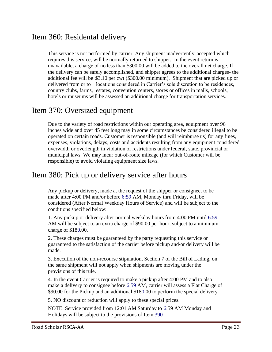#### Item 360: Residental delivery

This service is not performed by carrier. Any shipment inadvertently accepted which requires this service, will be normally returned to shipper. In the event return is unavailable, a charge of no less than \$300.00 will be added to the overall net charge. If the delivery can be safely accomplished, and shipper agrees to the additional charges- the additional fee will be \$3.10 per cwt (\$300.00 minimum). Shipment that are picked up or delivered from or to locations considered in Carrier's sole discretion to be residences, country clubs, farms, estates, convention centers, stores or offices in malls, schools, hotels or museums will be assessed an additional charge for transportation services.

#### Item 370: Oversized equipment

Due to the variety of road restrictions within our operating area, equipment over 96 inches wide and over 45 feet long may in some circumstances be considered illegal to be operated on certain roads. Customer is responsible (and will reimburse us) for any fines, expenses, violations, delays, costs and accidents resulting from any equipment considered overwidth or overlength in violation of restrictions under federal, state, provincial or municipal laws. We may incur out-of-route mileage (for which Customer will be responsible) to avoid violating equipment size laws.

#### Item 380: Pick up or delivery service after hours

Any pickup or delivery, made at the request of the shipper or consignee, to be made after 4:00 PM and/or before 6:59 AM, Monday thru Friday, will be considered (After Normal Weekday Hours of Service) and will be subject to the conditions specified below:

1. Any pickup or delivery after normal weekday hours from 4:00 PM until 6:59 AM will be subject to an extra charge of \$90.00 per hour, subject to a minimum charge of \$180.00.

2. These charges must be guaranteed by the party requesting this service or guaranteed to the satisfaction of the carrier before pickup and/or delivery will be made.

3. Execution of the non-recourse stipulation, Section 7 of the Bill of Lading, on the same shipment will not apply when shipments are moving under the provisions of this rule.

4. In the event Carrier is required to make a pickup after 4:00 PM and to also make a delivery to consignee before 6:59 AM, carrier will assess a Flat Charge of \$90.00 for the Pickup and an additional \$180.00 to perform the special delivery.

5. NO discount or reduction will apply to these special prices.

NOTE: Service provided from 12:01 AM Saturday to 6:59 AM Monday and Holidays will be subject to the provisions of Item 390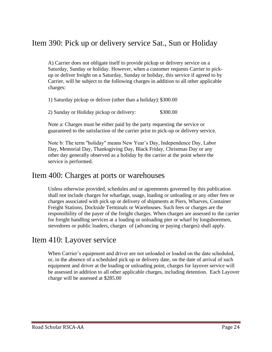#### Item 390: Pick up or delivery service Sat., Sun or Holiday

A) Carrier does not obligate itself to provide pickup or delivery service on a Saturday, Sunday or holiday. However, when a customer requests Carrier to pickup or deliver freight on a Saturday, Sunday or holiday, this service if agreed to by Carrier, will be subject to the following charges in addition to all other applicable charges:

1) Saturday pickup or deliver (other than a holiday): \$300.00

2) Sunday or Holiday pickup or delivery: \$300.00

Note a: Charges must be either paid by the party requesting the service or guaranteed to the satisfaction of the carrier prior to pick-up or delivery service.

Note b: The term "holiday" means New Year's Day, Independence Day, Labor Day, Memorial Day, Thanksgiving Day, Black Friday, Christmas Day or any other day generally observed as a holiday by the carrier at the point where the service is performed.

#### Item 400: Charges at ports or warehouses

Unless otherwise provided, schedules and or agreements governed by this publication shall not include charges for wharfage, usage, loading or unloading or any other fees or charges associated with pick up or delivery of shipments at Piers, Wharves, Container Freight Stations, Dockside Terminals or Warehouses. Such fees or charges are the responsibility of the payer of the freight charges. When charges are assessed to the carrier for freight handling services at a loading or unloading pier or wharf by longshoremen, stevedores or public loaders, charges of (advancing or paying charges) shall apply.

#### Item 410: Layover service

When Carrier's equipment and driver are not unloaded or loaded on the date scheduled, or, in the absence of a scheduled pick up or delivery date, on the date of arrival of such equipment and driver at the loading or unloading point, charges for layover service will be assessed in addition to all other applicable charges, including detention. Each Layover charge will be assessed at \$285.00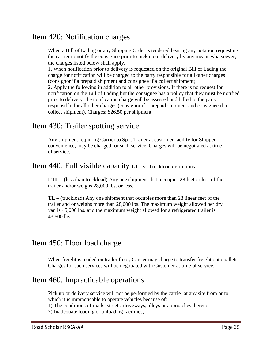#### Item 420: Notification charges

When a Bill of Lading or any Shipping Order is tendered bearing any notation requesting the carrier to notify the consignee prior to pick up or delivery by any means whatsoever, the charges listed below shall apply.

1. When notification prior to delivery is requested on the original Bill of Lading the charge for notification will be charged to the party responsible for all other charges (consignor if a prepaid shipment and consignee if a collect shipment).

2. Apply the following in addition to all other provisions. If there is no request for notification on the Bill of Lading but the consignee has a policy that they must be notified prior to delivery, the notification charge will be assessed and billed to the party responsible for all other charges (consignor if a prepaid shipment and consignee if a collect shipment). Charges: \$26.50 per shipment.

#### Item 430: Trailer spotting service

Any shipment requiring Carrier to Spot Trailer at customer facility for Shipper convenience, may be charged for such service. Charges will be negotiated at time of service.

#### Item 440: Full visible capacity LTL vs Truckload definitions

**LTL –** (less than truckload) Any one shipment that occupies 28 feet or less of the trailer and/or weighs 28,000 lbs. or less.

**TL –** (truckload) Any one shipment that occupies more than 28 linear feet of the trailer and or weighs more than 28,000 lbs. The maximum weight allowed per dry van is 45,000 lbs. and the maximum weight allowed for a refrigerated trailer is 43,500 lbs.

#### Item 450: Floor load charge

When freight is loaded on trailer floor, Carrier may charge to transfer freight onto pallets. Charges for such services will be negotiated with Customer at time of service.

#### Item 460: Impracticable operations

Pick up or delivery service will not be performed by the carrier at any site from or to which it is impracticable to operate vehicles because of:

1) The conditions of roads, streets, driveways, alleys or approaches thereto;

2) Inadequate loading or unloading facilities;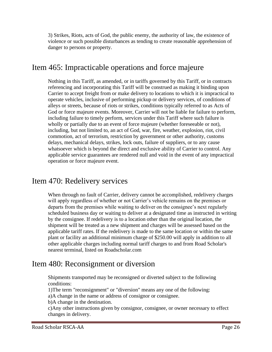3) Strikes, Riots, acts of God, the public enemy, the authority of law, the existence of violence or such possible disturbances as tending to create reasonable apprehension of danger to persons or property.

#### Item 465: Impracticable operations and force majeure

Nothing in this Tariff, as amended, or in tariffs governed by this Tariff, or in contracts referencing and incorporating this Tariff will be construed as making it binding upon Carrier to accept freight from or make delivery to locations to which it is impractical to operate vehicles, inclusive of performing pickup or delivery services, of conditions of alleys or streets, because of riots or strikes, conditions typically referred to as Acts of God or force majeure events. Moreover, Carrier will not be liable for failure to perform, including failure to timely perform, services under this Tariff where such failure is wholly or partially due to an event of force majeure (whether foreseeable or not), including, but not limited to, an act of God, war, fire, weather, explosion, riot, civil commotion, act of terrorism, restriction by government or other authority, customs delays, mechanical delays, strikes, lock outs, failure of suppliers, or to any cause whatsoever which is beyond the direct and exclusive ability of Carrier to control. Any applicable service guarantees are rendered null and void in the event of any impractical operation or force majeure event.

#### Item 470: Redelivery services

When through no fault of Carrier, delivery cannot be accomplished, redelivery charges will apply regardless of whether or not Carrier's vehicle remains on the premises or departs from the premises while waiting to deliver on the consignee's next regularly scheduled business day or waiting to deliver at a designated time as instructed in writing by the consignee. If redelivery is to a location other than the original location, the shipment will be treated as a new shipment and charges will be assessed based on the applicable tariff rates. If the redelivery is made to the same location or within the same plant or facility an additional minimum charge of \$250.00 will apply in addition to all other applicable charges including normal tariff charges to and from Road Scholar's nearest terminal, listed on Roadscholar.com

#### Item 480: Reconsignment or diversion

Shipments transported may be reconsigned or diverted subject to the following conditions:

1)The term "reconsignment" or "diversion" means any one of the following: a)A change in the name or address of consignor or consignee.

b)A change in the destination.

c)Any other instructions given by consignor, consignee, or owner necessary to effect changes in delivery.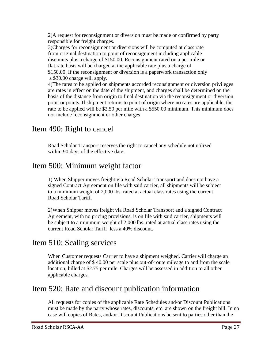2)A request for reconsignment or diversion must be made or confirmed by party responsible for freight charges.

3)Charges for reconsignment or diversions will be computed at class rate from original destination to point of reconsignment including applicable discounts plus a charge of \$150.00. Reconsignment rated on a per mile or flat rate basis will be charged at the applicable rate plus a charge of \$150.00. If the reconsignment or diversion is a paperwork transaction only a \$30.00 charge will apply.

4)The rates to be applied on shipments accorded reconsignment or diversion privileges are rates in effect on the date of the shipment, and charges shall be determined on the basis of the distance from origin to final destination via the reconsignment or diversion point or points. If shipment returns to point of origin where no rates are applicable, the rate to be applied will be \$2.50 per mile with a \$550.00 minimum. This minimum does not include reconsignment or other charges

# Item 490: Right to cancel

Road Scholar Transport reserves the right to cancel any schedule not utilized within 90 days of the effective date.

#### Item 500: Minimum weight factor

1) When Shipper moves freight via Road Scholar Transport and does not have a signed Contract Agreement on file with said carrier, all shipments will be subject to a minimum weight of 2,000 lbs. rated at actual class rates using the current Road Scholar Tariff.

2)When Shipper moves freight via Road Scholar Transport and a signed Contract Agreement, with no pricing provisions, is on file with said carrier, shipments will be subject to a minimum weight of 2,000 lbs. rated at actual class rates using the current Road Scholar Tariff less a 40% discount.

#### Item 510: Scaling services

When Customer requests Carrier to have a shipment weighed, Carrier will charge an additional charge of \$ 40.00 per scale plus out-of-route mileage to and from the scale location, billed at \$2.75 per mile. Charges will be assessed in addition to all other applicable charges.

# Item 520: Rate and discount publication information

All requests for copies of the applicable Rate Schedules and/or Discount Publications must be made by the party whose rates, discounts, etc. are shown on the freight bill. In no case will copies of Rates, and/or Discount Publications be sent to parties other than the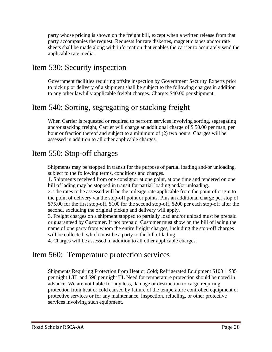party whose pricing is shown on the freight bill, except when a written release from that party accompanies the request. Requests for rate diskettes, magnetic tapes and/or rate sheets shall be made along with information that enables the carrier to accurately send the applicable rate media.

#### Item 530: Security inspection

Government facilities requiring offsite inspection by Government Security Experts prior to pick up or delivery of a shipment shall be subject to the following charges in addition to any other lawfully applicable freight charges. Charge: \$40.00 per shipment.

# Item 540: Sorting, segregating or stacking freight

When Carrier is requested or required to perform services involving sorting, segregating and/or stacking freight, Carrier will charge an additional charge of \$ 50.00 per man, per hour or fraction thereof and subject to a minimum of (2) two hours. Charges will be assessed in addition to all other applicable charges.

#### Item 550: Stop-off charges

Shipments may be stopped in transit for the purpose of partial loading and/or unloading, subject to the following terms, conditions and charges.

1. Shipments received from one consignor at one point, at one time and tendered on one bill of lading may be stopped in transit for partial loading and/or unloading.

2. The rates to be assessed will be the mileage rate applicable from the point of origin to the point of delivery via the stop-off point or points. Plus an additional charge per stop of \$75.00 for the first stop-off, \$100 for the second stop-off, \$200 per each stop-off after the second, excluding the original pickup and delivery will apply.

3. Freight charges on a shipment stopped to partially load and/or unload must be prepaid or guaranteed by Customer. If not prepaid, Customer must show on the bill of lading the name of one party from whom the entire freight charges, including the stop-off charges will be collected, which must be a party to the bill of lading.

4. Charges will be assessed in addition to all other applicable charges.

#### Item 560: Temperature protection services

Shipments Requiring Protection from Heat or Cold; Refrigerated Equipment \$100 + \$35 per night LTL and \$90 per night TL Need for temperature protection should be noted in advance. We are not liable for any loss, damage or destruction to cargo requiring protection from heat or cold caused by failure of the temperature controlled equipment or protective services or for any maintenance, inspection, refueling, or other protective services involving such equipment.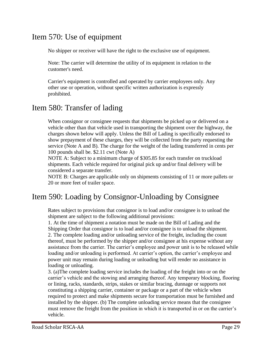# Item 570: Use of equipment

No shipper or receiver will have the right to the exclusive use of equipment.

Note: The carrier will determine the utility of its equipment in relation to the customer's need.

Carrier's equipment is controlled and operated by carrier employees only. Any other use or operation, without specific written authorization is expressly prohibited.

# Item 580: Transfer of lading

When consignor or consignee requests that shipments be picked up or delivered on a vehicle other than that vehicle used in transporting the shipment over the highway, the charges shown below will apply. Unless the Bill of Lading is specifically endorsed to show prepayment of these charges, they will be collected from the party requesting the service (Note A and B). The charge for the weight of the lading transferred in cents per 100 pounds shall be. \$2.11 cwt (Note A)

NOTE A: Subject to a minimum charge of \$305.85 for each transfer on truckload shipments. Each vehicle required for original pick up and/or final delivery will be considered a separate transfer.

NOTE B: Charges are applicable only on shipments consisting of 11 or more pallets or 20 or more feet of trailer space.

# Item 590: Loading by Consignor-Unloading by Consignee

Rates subject to provisions that consignor is to load and/or consignee is to unload the shipment are subject to the following additional provisions:

1. At the time of shipment a notation must be made on the Bill of Lading and the Shipping Order that consignor is to load and/or consignee is to unload the shipment. 2. The complete loading and/or unloading service of the freight, including the count thereof, must be performed by the shipper and/or consignee at his expense without any assistance from the carrier. The carrier's employee and power unit is to be released while loading and/or unloading is performed. At carrier's option, the carrier's employee and power unit may remain during loading or unloading but will render no assistance in loading or unloading.

3. (a)The complete loading service includes the loading of the freight into or on the carrier's vehicle and the stowing and arranging thereof. Any temporary blocking, flooring or lining, racks, standards, strips, stakes or similar bracing, dunnage or supports not constituting a shipping carrier, container or package or a part of the vehicle when required to protect and make shipments secure for transportation must be furnished and installed by the shipper. (b) The complete unloading service means that the consignee must remove the freight from the position in which it is transported in or on the carrier's vehicle.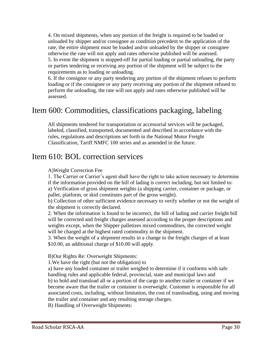4. On mixed shipments, when any portion of the freight is required to be loaded or unloaded by shipper and/or consignee as condition precedent to the application of the rate, the entire shipment must be loaded and/or unloaded by the shipper or consignee otherwise the rate will not apply and rates otherwise published will be assessed. 5. In event the shipment is stopped-off for partial loading or partial unloading, the party or parties tendering or receiving any portion of the shipment will be subject to the requirements as to loading or unloading.

6. If the consignor or any party tendering any portion of the shipment refuses to perform loading or if the consignee or any party receiving any portion of the shipment refused to perform the unloading, the rate will not apply and rates otherwise published will be assessed.

#### Item 600: Commodities, classifications packaging, labeling

All shipments tendered for transportation or accessorial services will be packaged, labeled, classified, transported, documented and described in accordance with the rules, regulations and descriptions set forth in the National Motor Freight Classification, Tariff NMFC 100 series and as amended in the future.

#### Item 610: BOL correction services

#### A)Weight Correction Fee

1. The Carrier or Carrier's agent shall have the right to take action necessary to determine if the information provided on the bill of lading is correct including, but not limited to: a) Verification of gross shipment weights (a shipping carrier, container or package, or pallet, platform, or skid constitutes part of the gross weight).

b) Collection of other sufficient evidence necessary to verify whether or not the weight of the shipment is correctly declared.

2. When the information is found to be incorrect, the bill of lading and carrier freight bill will be corrected and freight charges assessed according to the proper descriptions and weights except, when the Shipper palletizes mixed commodities, the corrected weight will be charged at the highest rated commodity in the shipment.

3. When the weight of a shipment results in a change to the freight charges of at least \$10.00, an additional charge of \$10.00 will apply.

B)Our Rights Re: Overweight Shipments:

1.We have the right (but not the obligation) to

a) have any loaded container or trailer weighed to determine if it conforms with safe handling rules and applicable federal, provincial, state and municipal laws and b) to hold and transload all or a portion of the cargo to another trailer or container if we become aware that the trailer or container is overweight. Customer is responsible for all associated costs, including, without limitation, the cost of transloading, using and moving the trailer and container and any resulting storage charges.

B) Handling of Overweight Shipments: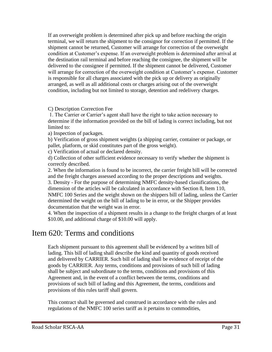If an overweight problem is determined after pick up and before reaching the origin terminal, we will return the shipment to the consignor for correction if permitted. If the shipment cannot be returned, Customer will arrange for correction of the overweight condition at Customer's expense. If an overweight problem is determined after arrival at the destination rail terminal and before reaching the consignee, the shipment will be delivered to the consignee if permitted. If the shipment cannot be delivered, Customer will arrange for correction of the overweight condition at Customer's expense. Customer is responsible for all charges associated with the pick up or delivery as originally arranged, as well as all additional costs or charges arising out of the overweight condition, including but not limited to storage, detention and redelivery charges.

#### C) Description Correction Fee

1. The Carrier or Carrier's agent shall have the right to take action necessary to determine if the information provided on the bill of lading is correct including, but not limited to:

a) Inspection of packages.

b) Verification of gross shipment weights (a shipping carrier, container or package, or pallet, platform, or skid constitutes part of the gross weight).

c) Verification of actual or declared density.

d) Collection of other sufficient evidence necessary to verify whether the shipment is correctly described.

2. When the information is found to be incorrect, the carrier freight bill will be corrected and the freight charges assessed according to the proper descriptions and weights. 3. Density - For the purpose of determining NMFC density-based classifications, the dimension of the articles will be calculated in accordance with Section 8, Item 110, NMFC 100 Series and the weight shown on the shippers bill of lading, unless the Carrier determined the weight on the bill of lading to be in error, or the Shipper provides documentation that the weight was in error.

4. When the inspection of a shipment results in a change to the freight charges of at least \$10.00, and additional charge of \$10.00 will apply.

#### Item 620: Terms and conditions

Each shipment pursuant to this agreement shall be evidenced by a written bill of lading. This bill of lading shall describe the kind and quantity of goods received and delivered by CARRIER. Such bill of lading shall be evidence of receipt of the goods by CARRIER. Any terms, conditions and provisions of such bill of lading shall be subject and subordinate to the terms, conditions and provisions of this Agreement and, in the event of a conflict between the terms, conditions and provisions of such bill of lading and this Agreement, the terms, conditions and provisions of this rules tariff shall govern.

This contract shall be governed and construed in accordance with the rules and regulations of the NMFC 100 series tariff as it pertains to commodities,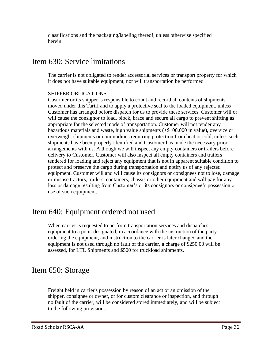classifications and the packaging/labeling thereof, unless otherwise specified herein.

# Item 630: Service limitations

The carrier is not obligated to render accessorial services or transport property for which it does not have suitable equipment, nor will transportation be performed

#### SHIPPER OBLIGATIONS

Customer or its shipper is responsible to count and record all contents of shipments moved under this Tariff and to apply a protective seal to the loaded equipment, unless Customer has arranged before dispatch for us to provide these services. Customer will or will cause the consignor to load, block, brace and secure all cargo to prevent shifting as appropriate for the selected mode of transportation. Customer will not tender any hazardous materials and waste, high value shipments (+\$100,000 in value), oversize or overweight shipments or commodities requiring protection from heat or cold, unless such shipments have been properly identified and Customer has made the necessary prior arrangements with us. Although we will inspect any empty containers or trailers before delivery to Customer, Customer will also inspect all empty containers and trailers tendered for loading and reject any equipment that is not in apparent suitable condition to protect and preserve the cargo during transportation and notify us of any rejected equipment. Customer will and will cause its consignors or consignees not to lose, damage or misuse tractors, trailers, containers, chassis or other equipment and will pay for any loss or damage resulting from Customer's or its consignors or consignee's possession or use of such equipment.

# Item 640: Equipment ordered not used

When carrier is requested to perform transportation services and dispatches equipment to a point designated, in accordance with the instruction of the party ordering the equipment, and instruction to the carrier is later changed and the equipment is not used through no fault of the carrier, a charge of \$250.00 will be assessed, for LTL Shipments and \$500 for truckload shipments.

# Item 650: Storage

Freight held in carrier's possession by reason of an act or an omission of the shipper, consignee or owner, or for custom clearance or inspection, and through no fault of the carrier, will be considered stored immediately, and will be subject to the following provisions: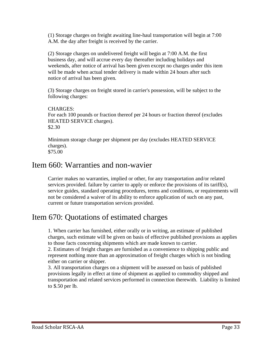(1) Storage charges on freight awaiting line-haul transportation will begin at 7:00 A.M. the day after freight is received by the carrier.

(2) Storage charges on undelivered freight will begin at 7:00 A.M. the first business day, and will accrue every day thereafter including holidays and weekends, after notice of arrival has been given except no charges under this item will be made when actual tender delivery is made within 24 hours after such notice of arrival has been given.

(3) Storage charges on freight stored in carrier's possession, will be subject to the following charges:

#### CHARGES:

For each 100 pounds or fraction thereof per 24 hours or fraction thereof (excludes HEATED SERVICE charges). \$2.30

Minimum storage charge per shipment per day (excludes HEATED SERVICE charges). \$75.00

#### Item 660: Warranties and non-wavier

Carrier makes no warranties, implied or other, for any transportation and/or related services provided. failure by carrier to apply or enforce the provisions of its tariff(s), service guides, standard operating procedures, terms and conditions, or requirements will not be considered a waiver of its ability to enforce application of such on any past, current or future transportation services provided.

#### Item 670: Quotations of estimated charges

1. When carrier has furnished, either orally or in writing, an estimate of published charges, such estimate will be given on basis of effective published provisions as applies to those facts concerning shipments which are made known to carrier.

2. Estimates of freight charges are furnished as a convenience to shipping public and represent nothing more than an approximation of freight charges which is not binding either on carrier or shipper.

3. All transportation charges on a shipment will be assessed on basis of published provisions legally in effect at time of shipment as applied to commodity shipped and transportation and related services performed in connection therewith. Liability is limited to \$.50 per lb.